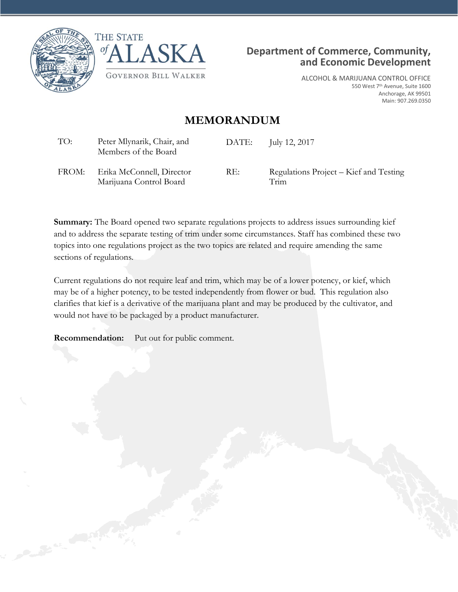





ALCOHOL & MARIJUANA CONTROL OFFICE 550 West 7th Avenue, Suite 1600 Anchorage, AK 99501 Main: 907.269.0350

# **MEMORANDUM**

| TO:   | Peter Mlynarik, Chair, and<br>Members of the Board   | DATE: | July 12, 2017                                  |
|-------|------------------------------------------------------|-------|------------------------------------------------|
| FROM: | Erika McConnell, Director<br>Marijuana Control Board | RE:   | Regulations Project – Kief and Testing<br>Trim |

**Summary:** The Board opened two separate regulations projects to address issues surrounding kief and to address the separate testing of trim under some circumstances. Staff has combined these two topics into one regulations project as the two topics are related and require amending the same sections of regulations.

Current regulations do not require leaf and trim, which may be of a lower potency, or kief, which may be of a higher potency, to be tested independently from flower or bud. This regulation also clarifies that kief is a derivative of the marijuana plant and may be produced by the cultivator, and would not have to be packaged by a product manufacturer.

**Recommendation:** Put out for public comment.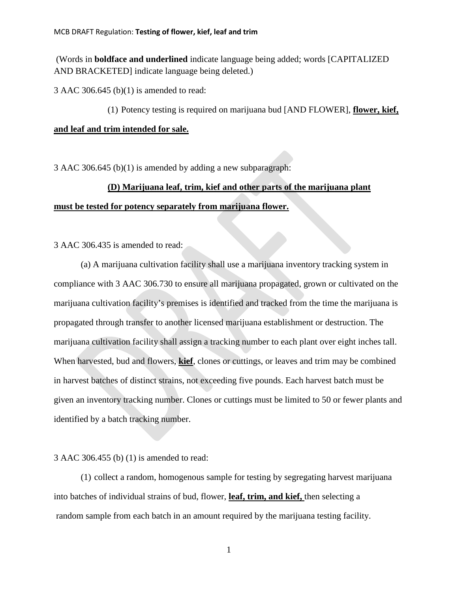(Words in **boldface and underlined** indicate language being added; words [CAPITALIZED AND BRACKETED] indicate language being deleted.)

3 AAC 306.645 (b)(1) is amended to read:

(1) Potency testing is required on marijuana bud [AND FLOWER], **flower, kief,** 

### **and leaf and trim intended for sale.**

3 AAC 306.645 (b)(1) is amended by adding a new subparagraph:

# **(D) Marijuana leaf, trim, kief and other parts of the marijuana plant**

### **must be tested for potency separately from marijuana flower.**

3 AAC 306.435 is amended to read:

(a) A marijuana cultivation facility shall use a marijuana inventory tracking system in compliance with 3 AAC 306.730 to ensure all marijuana propagated, grown or cultivated on the marijuana cultivation facility's premises is identified and tracked from the time the marijuana is propagated through transfer to another licensed marijuana establishment or destruction. The marijuana cultivation facility shall assign a tracking number to each plant over eight inches tall. When harvested, bud and flowers, **kief**, clones or cuttings, or leaves and trim may be combined in harvest batches of distinct strains, not exceeding five pounds. Each harvest batch must be given an inventory tracking number. Clones or cuttings must be limited to 50 or fewer plants and identified by a batch tracking number.

### 3 AAC 306.455 (b) (1) is amended to read:

(1) collect a random, homogenous sample for testing by segregating harvest marijuana into batches of individual strains of bud, flower, **leaf, trim, and kief,** then selecting a random sample from each batch in an amount required by the marijuana testing facility.

1